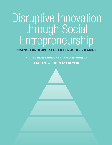# Disruptive Innovation through Social Entrepreneurship

# **USING FASHION TO CREATE SOCIAL CHANGE**

**PITT BUSINESS HONORS CAPSTONE PROJECT**

**RACHAEL WHITE, CLASS OF 2018**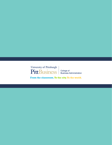

College of<br>Business Administration

From the classroom. To the city. To the world.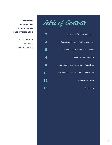DISRUPTIVE **Table of Contents** 



**INNOVATION THROUGH SOCIAL ENTREPRENEURSHIP**

> USING FASHION TO CREATE SOCIAL CHANGE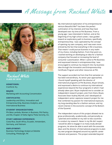A Message from Rachael White



Rachael White **CLASS OF 2018**

**HOMETOWN:** Cranford, N.J.

**MAJOR:** Marketing with Accounting Concentration

# **CERTIFICATES:**

Leadership and Ethics, Innovation and Entrepreneurship, Business Analytics, and International Business

#### **STUDENT ORGANIZATIONS:**

Phi Beta Lambda, Women in Business, Pitt Pantry, and Mu Chapter of Delta Sigma Theta Sorority, Inc.

## **STUDY ABROAD EXPERIENCE:**

Costa Rica, South Africa, Ecuador, Amsterdam, Germany, and Vietnam

#### **EMPLOYMENT:**

Business Technology Analyst at Deloitte Consulting, Pittsburgh, PA

My international exploration of my entrepreneurial venture Beautiful Me™ has been the perfect culmination of my interests and how they have developed over my time at Pitt Business. From a young age, I was interested in fashion, and at the beginning of my high school career, I was guided toward an exploratory path to business, specifically entrepreneurship. I was captivated by the concept of opening my own company, and I was even more enticed by the fact that everything in life is business. That meant I could pursue business in any realm of my choice, including fashion. From that point on, I started working on developing an idea for a fashion company that focused on increasing the level of consumer customization. When I came to Pitt Business and expressed interest in entrepreneurship, I was encouraged to continue my research into my business idea through the Innovation and Entrepreneurship Certificate Program and other resources at Pitt.

The support accorded me from that first semester on has been extraordinary. As senior year approached, I found myself speaking with the director of international programs at Pitt Business, Bryan Schultz, and expressed a desire to continue my international experiences beyond the four programs in which I had already taken part. Bryan implored me to consider an independent research project, and, from there, Bryan, Associate Dean Audrey Murrell, and I developed an independent senior capstone research project for me that combined my passion for international exposure, my long-standing idea for a fashion venture, and my recent interest in the economic concept of the Bottom of the Pyramid.

The independent nature of this project allowed me to grow professionally, academically, and personally as I planned and traveled on my own to two countries to conduct my research. Never in my life did I expect I would be able to engage in so many study abroad programs, let alone be able to work with the associate dean and the director of international programs to plan my own program designed around my specific career interests and passions. This project extended beyond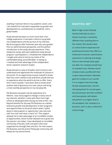anything I had ever done in my academic career, and I am thankful for how well it expanded my growth and development as a professional, an academic, and a global leader.

Study abroad has been so much more than a fun college experience. It has been critical to my growth into independence and the pursuit of my interests. My first program after freshman year was very guided, from an administrative perspective, and the perfect introduction to the study abroad experience. Then, slowly but surely, with each additional study abroad program I participated in, I inhabited the independence I sought and came to live by my motto of "be comfortable being uncomfortable." In doing so, I created and took advantage of this independent senior capstone research project.

Study abroad is a way to broaden one's horizons and understand and appreciate the multitude of cultures in this world. It's an opportunity to push oneself to break free from one's comfort zone and think outside the box to experience what the world truly has to offer. Every time I have traveled, I have been able to break down another wall of ignorance of a new culture and bring a more worldly perspective to my everyday life.

Pitt Business has given me the experience of a lifetime. I was encouraged to indulge in every one of my interests, whether I came with them from high school or developed them during my time at Pitt. I am beyond thankful for the way Pitt Business as a whole embraces growth and development in their programs and opportunities to the point where when I asked about a new program or opportunity I was only ever told "not now" and never a hard "no." This support allowed me to take advantage of an incredible number of opportunities, which further allowed me to grow into the woman I am today. I have developed an incredible community of faculty, staff, and peers who have supported me through thick and thin. For that reason, Pitt Business and the entire Pittsburgh community will always be my second home.

# **BEAUTIFUL ME™**

Back in high school, Rachael had the bold idea to start a fashion business. It would be different than anything else on the market. She would create an online fashion experience for professional women that offers an enhanced consumer customization experience in tailoring and design. Since no two female body types are alike, her company would have no standard sizes. Women would instead create a profile with their unique measurements. Rachael's goal isn't simply to turn a profit. It is to support and encourage female empowerment. Like the old saying dress for success goes, businesswomen who feel confident and have greater self-esteem will perform at a higher level in the workplace. Her company is a business, and it is also a vehicle for social change.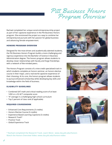Pitt Business Honors Program Overview

Rachael completed her unique social entrepreneurship project as part of her capstone experience in the Pitt Business Honors program. She envisioned the project as a way to combine her entrepreneurial pursuits with her passion for global business and advancing female empowerment.

# **HONORS PROGRAM OVERVIEW**

Designed for the most driven and academically talented students, the Pitt Business Honors Program builds a more challenging and rigorous experience into the Bachelor of Science in Business Administration degree. The honors program allows students to develop closer relationships with faculty and forge friendships with a network of like-minded peers.

The Honors Program consists of a nine-credit specialized track in which students complete an honors seminar, an honors elective course in their major, and a real-world capstone experience of their choosing. At its core, the honors program allows students to pursue enhanced scholarship while developing key skills and knowledge within the field of business.

# **ELIGIBILITY GUIDELINES**

- Combined SAT math and critical reading score of at least 1450 or a 32 ACT composite score
- "A" average in a challenging high school curriculum
- Top 5 percent of class rank (if applicable)

# **REQUIRED COURSEWORK**

- Enhanced Core Requirements (3 credits)
- Honors Elective Course (3 credits)
- Experience-Based Learning Capstone (3 credits)
- Research Track\*
- Practice Track
- Global Experience Track







**\* Rachael completed the Research Track. Learn More: www.cba.pitt.edu/honors Watch the Honors Overview Video: www.cba.pitt.edu/honors-video**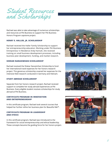Student Resources and Scholarships

Rachael was able to take advantage of numerous scholarships and resources at Pitt Business to support her Pitt Business Honors Program capstone project.

# **HENRY E. HALLER, JR. SCHOLARSHIP**

Rachael received the Haller Family Scholarship to support her entrepreneurship education. Working under Pitt Business Entrepreneur in Residence Andy Hannah, she received training on small business development processes, including business plan development, funding, and market research.

#### **SHEKAR NARASIMHAN SCHOLARSHIP**

Rachael received the Shekar Narasimhan Scholarship to fund her international travel expenses for her honors research project. This generous scholarship covered her expenses for the intensive field research conducted in Germany and Vietnam.

## **STUDY ABROAD SCHOLARSHIP**

Separate from her honors research project, Rachael received support to complete her study abroad experiences at Pitt Business. Every eligible student receives scholarships for study abroad at Pitt Business.

# **CERTIFICATE PROGRAM IN INNOVATION AND ENTREPRENEURSHIP**

In this certificate program, Rachael took several courses that helped her further refine her business plan for Beautiful Me™.

# **CERTIFICATE PROGRAM IN LEADERSHIP AND ETHICS**

In this certificate program, Rachael was introduced to the framework for social entrepreneurship and ethical leadership. These concepts became the guiding force for her honors project.





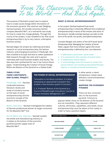From The Classroom, To the City, To the World — And Back Again.

The purpose of Rachael's project was to explore how to create social change within the bottom of the economic pyramid. She used her own fledgling startup business, the socially conscious fashion company Beautiful Me™, as a real-world case study for how to create this change globally. Through the course of her project, it was revealed to her that social entrepreneurship is, by its very nature, a disruptive business activity.

Rachael began her project by collecting secondary research on social entrepreneurship, the fashion industry, and emerging economies in Pittsburgh. She then traveled to Europe and Asia to collect qualitative field research through site visits and in-person interviews with local business leaders and faculty. The data was then synthesized for use in her honors thesis paper, "Understanding the Creation of Social Change Within the Bottom of the Pyramid on a Global Scale."

## **WHAT IS SOCIAL ENTREPRENEURSHIP?**

In her project, Rachael explored how social entrepreneurship is inherently different from traditional entrepreneurship in terms of the mission and vision of the venture. Socially oriented startups can take on the form of for-profit, non-profit, and hybrid enterprises.

Constant Beugré, the author of the 2016 book *Social Entrepreneurship: Managing the Creation of Social Value*, argues that most scholars agree that social entrepreneurship is defined by four core elements.

- **1. It addresses a particular social need**
- **2. It is centered on the creation of social value**
- **3. It emphasizes social impact**
- **4. It acknowledges that the means to attain the social mission can include purely philanthropic, hybrid, or market-oriented mechanisms**

# **THREE CITIES. THREE CONTINENTS. ONE GLOBAL PROJECT.**

**Pittsburgh, USA** – Rachael conducted extensive literature review and study of scholarly sources on the topic of social entrepreneurship and the economic concept of the Bottom of the Pyramid.

# **THE POWER OF SOCIAL ENTREPRENEURSHIP**

"Innovation is not about a product. It is about developing an appropriate ecosystem that enables a new business system to function."

C. K. Prahalad "Bottom of the Pyramid as a Source of Breakthrough Innovations," *Journal of Product Innovation Management*, 2011

In other words, a classic entrepreneur creates value, whereas a social entrepreneur creates change.

# **MAPPING THE ECONOMIC PYRAMID**

There are four consumer tiers to the economic pyramid. Contrary to

popular belief, those on the Bottom of the Pyramid are not monolithic. They represent different cultures, ethnicities, capabilities, and needs. Social entrepreneurship must be aware of this reality in order to have a positive impact.

for the Beautiful Me™ line. **Ho Chi Minh City, Vietnam** – Rachael studied the textile and manufacturing industry as it relates to the bottom of the economic

pyramid and the supply chain of

Beautiful Me™.

**Berlin, Germany** – Rachael investigated the viability of German professional women as target consumers

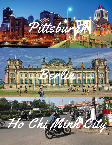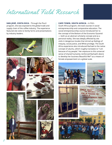International Field Research

**SAN JOSÉ, COSTA RICA** – Through the Plus3 program, she was exposed to the global trade and supply chain of the coffee industry. The experience featured site visits to family farms and presentations by industry leaders.



## **CAPE TOWN, SOUTH AFRICA** – In Pitt's

South Africa program, she took courses in social entrepreneurship and comparative education. The social entrepreneurship course introduced her to the concept of the Bottom of the Economic Pyramid — both as an abstract scholarly concept and as a personal reality. She was deeply affected by site visits in dangerous locales that stirred up feelings of inequity, social justice, and White privilege. The South Africa experience also introduced Rachael to the native concept of ubuntu, which roughly translates to "I am because of my people." Her exposure to this universal sense of shared humanity reinforced Rachael's desire to develop her business Beautiful Me™ as a means of female empowerment on a global scale.

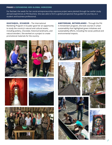#### **PHASE I: EXPANDING HER GLOBAL HORIZONS**

For Rachael, the seeds for her social entrepreneurship capstone project were planted through her earlier study abroad experiences at Pitt Business. She was able to form a global perspective that guided her journey as a student and business professional.

**GUAYAQUIL, ECUADOR** – The International Marketing Program in Ecuador gave her an opportunity to study the country's natural and cultural assets, including pottery, chocolate, historical landmarks, and natural wonders. She worked on a project to create promotional materials for the country.

**AMSTERDAM, NETHERLANDS** – Through the Pitt in Amsterdam program, she took courses in urban sustainability that highlighted green initiatives and sustainability efforts, including the social, political and environmental impacts.



















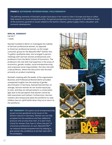# **PHASE 2: GATHERING INTERNATIONAL FIELD RESEARCH**

The defining moments of Rachael's project took place in her travel to cities in Europe and Asia to collect field research on social entrepreneurship. She gained perspectives from occupants of the different levels of the economic pyramid on issues related to the fashion industry, global supply chains, education, and economic development.

#### **BERLIN, GERMANY**

Fall 2017 1 week

Rachael traveled to Berlin to investigate the viability of German professional women, as opposed to American professional women, as the target consumer group for the Beautiful Me™ fashion line. To gather qualitative data, she arranged in-person meetings with German women professionals and professors from the Berlin School of Economics. The professors she met with had expertise in the areas of economics, gender studies, social entrepreneurship, and corporate social responsibility. She also met with a law professor, where the discussion was focused primarily on product marketing.

Rachael's meeting with the leader of the organization Business and Professional Women-Berlin provided unexpected insights into the severity of gender discrimination in Germany. Rachael learned that, on average, German women do not receive equal pay to men, and they are still perceived in a conservative light due to the perception that women cannot be both executives and mothers. Furthermore, German mothers who temporarily leave the workforce to raise children face an uphill battle when they try to return to the workforce.

**KEY TAKEAWAY:** Disruptive social entrepreneurship would connect gendered social issues to the fashion industry in Germany. Women are not fully accepted into the workforce and face additional pressure and scrutiny than men. It is even more critical for women than men to "dress the part" of a business professional. As such, Beautiful Me™ can advance female empowerment by helping to give women the confidence to be their best self in the workplace.

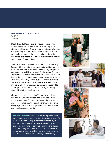## **HO CHI MINH CITY, VIETNAM**

Fall 2017 1+ weeks

It took three flights and over 24 hours of travel time, but Rachael arrived in Vietnam for the next leg of her international journey. Given Vietnam's status as a low-cost manufacturing hub for American and European brands, she sought to examine the textile and manufacturing industry as it relates to the Bottom of the Pyramid and the supply chain of Beautiful Me™.

The local university UEF was instrumental in connecting Rachael with professional contacts and providing language translation services. Rachael visited both large corporate manufacturing facilities and small family-owned factories. She also met with local industry professionals and the vice dean of the School of Architecture and the Arts at HUTECH University. The family-owned business she visited was a startup run by the aunt of a friend that she met at a local university. Like many business owners, she struggled to raise capital and suffered razor-thin margins to keep prices competitive in the global market.

It became clear to Rachael that Vietnam's local design industry was underdeveloped. The focus was almost exclusively on manufacturing clothing for large American and European brands. Additionally, there was also often a language barrier due to English and European tongues being the language of fashion.

**KEY TAKEAWAY:** Disruptive social entrepreneurship would focus on manufacturing and education. Beautiful Me™ could open a unique manufacturing facility in Vietnam that, though its emphasis on tailoring and customization, will also serve as a training and design hub. The facility will create jobs and opportunities for employees to explore fashion beyond manufacturing and thus build up the local industry and economy.

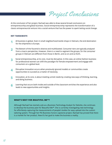Project Conclusions

At the conclusion of her project, Rachael was able to draw several broad conclusions on entrepreneurship and global business. Social entrepreneurship represents the transformation of a classic entrepreneurial venture into a social venture that has the power to spark lasting social change.

#### **KEY TAKEAWAYS**

- All business is global. Even in small neighborhood textile shops in Vietnam, the end destination for the shipments is Europe. **1**
- The Bottom of the Pyramid is diverse and multifaceted. Consumer tiers are typically analyzed from a macro perspective. However, there is a need to segment the groups, for the consumer groups in Vietnam are different from those in Berlin, and so on and so forth. **2**
- Social entrepreneurship, at its core, must be disruptive. In this case, an online fashion business for professional women can shift the paradigm for female empowerment and engage with consumers on a global level. **3**
- Disruptive innovation occurs when previously ignored models or communities create opportunities to succeed as a matter of necessity. **4**
- Innovation, at its core, is about meeting unmet needs by creating new ways of thinking, learning, and doing business. **5**
- Learning that occurs both inside and outside of the classroom enriches the experience and also leads to new opportunities and insights. **6**

#### **WHAT'S NEXT FOR BEAUTIFUL ME™?**

Although Rachael has started a job as a Business Technology Analyst for Deloitte, she continues to develop the business plan for Beautiful Me™. She is currently investigating new technology for effortlessly capturing the measurements of people's bodies for easy upload into the custom tailoring system. Through her Pitt Business honors capstone project, Rachael has proved that there is a market for her product. Now it's her goal to make the business a reality.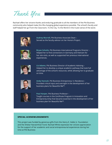Thank You

Rachael offers her sincere thanks and enduring gratitude to all the members of the Pitt Business community who helped make this life-changing global experience possible. The school's faculty and staff helped her go From the Classroom, To the City, To the World in the truest sense of the word.



**Audrey Murrell**, Pitt Business Associate Dean – Served as the faculty advisor on her Honors Project.



**Bryan Schultz**, Pitt Business International Programs Director – Helped her to find connections in Germany and Vietnam for her site visits, as well as supported her previous international experiences.



**Liz Adams**, Pitt Business Director of Academic Advising – Helped her to develop a unique academic pathway that took full advantage of the school's resources, while allowing her to graduate on time.



**Andy Hannah**, Pitt Business Entrepreneur in Residence – Provided critical input and oversight in the development of her business plans for Beautiful Me™.



**Paul Harper**, Pitt Business Professor – Taught courses in the Certificate Program in Innovation and Entrepreneurship that became essential in the development of her business plan for Beautiful Me™.

## **SPECIAL ACKNOWLEDGEMENTS**

This project was funded by generous gifts from the Henry E. Haller Jr. Foundation and the Shekar Narasimhan Fund. Rachael White expresses her sincere appreciation for the support of her academic and social entrepreneurial experiences during her time at Pitt Business